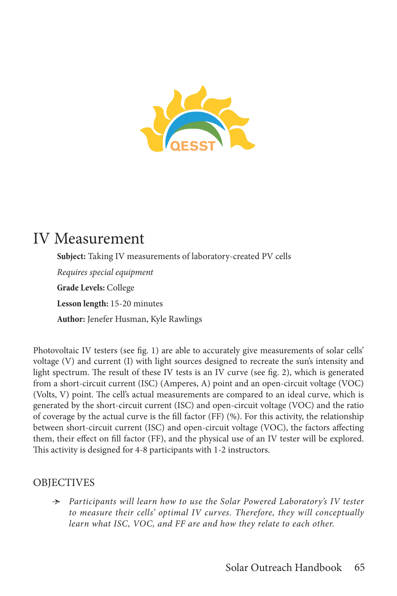

# IV Measurement

**Subject:** Taking IV measurements of laboratory-created PV cells *Requires special equipment* **Grade Levels:** College **Lesson length:** 15-20 minutes **Author:** Jenefer Husman, Kyle Rawlings

Photovoltaic IV testers (see fig. 1) are able to accurately give measurements of solar cells' voltage (V) and current (I) with light sources designed to recreate the sun's intensity and light spectrum. The result of these IV tests is an IV curve (see fig. 2), which is generated from a short-circuit current (ISC) (Amperes, A) point and an open-circuit voltage (VOC) (Volts, V) point. The cell's actual measurements are compared to an ideal curve, which is generated by the short-circuit current (ISC) and open-circuit voltage (VOC) and the ratio of coverage by the actual curve is the fill factor (FF) (%). For this activity, the relationship between short-circuit current (ISC) and open-circuit voltage (VOC), the factors affecting them, their effect on fill factor (FF), and the physical use of an IV tester will be explored. This activity is designed for 4-8 participants with 1-2 instructors.

### OBJECTIVES

Ӻ *Participants will learn how to use the Solar Powered Laboratory's IV tester to measure their cells' optimal IV curves. Therefore, they will conceptually learn what ISC, VOC, and FF are and how they relate to each other.*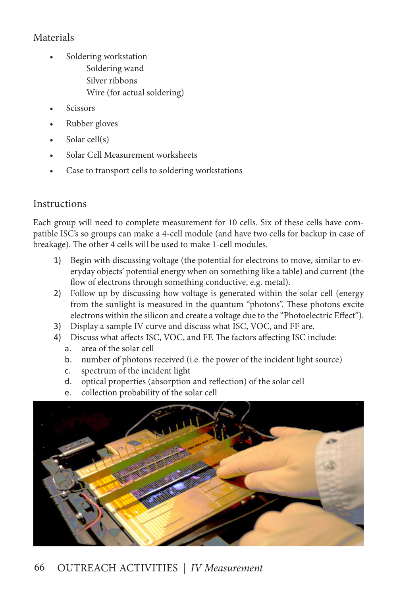## Materials

- Soldering workstation Soldering wand Silver ribbons Wire (for actual soldering)
- **Scissors**
- Rubber gloves
- Solar cell(s)
- Solar Cell Measurement worksheets
- Case to transport cells to soldering workstations

### **Instructions**

Each group will need to complete measurement for 10 cells. Six of these cells have compatible ISC's so groups can make a 4-cell module (and have two cells for backup in case of breakage). The other 4 cells will be used to make 1-cell modules.

- 1) Begin with discussing voltage (the potential for electrons to move, similar to everyday objects' potential energy when on something like a table) and current (the flow of electrons through something conductive, e.g. metal).
- 2) Follow up by discussing how voltage is generated within the solar cell (energy from the sunlight is measured in the quantum "photons". These photons excite electrons within the silicon and create a voltage due to the "Photoelectric Effect").
- 3) Display a sample IV curve and discuss what ISC, VOC, and FF are.
- 4) Discuss what affects ISC, VOC, and FF. The factors affecting ISC include:
	- a. area of the solar cell
	- b. number of photons received (i.e. the power of the incident light source)
	- c. spectrum of the incident light
	- d. optical properties (absorption and reflection) of the solar cell
	- e. collection probability of the solar cell